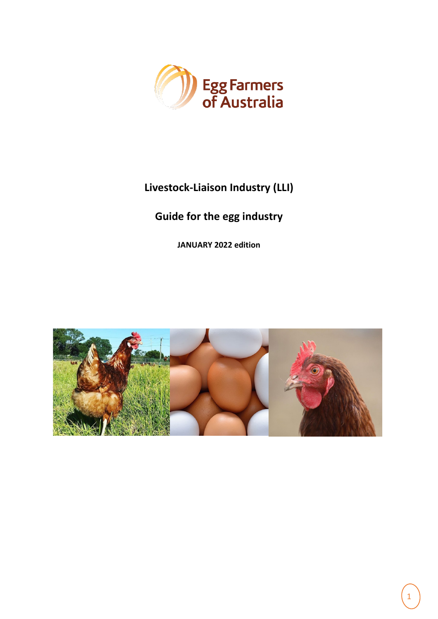

# **Livestock-Liaison Industry (LLI)**

# **Guide for the egg industry**

**JANUARY 2022 edition**

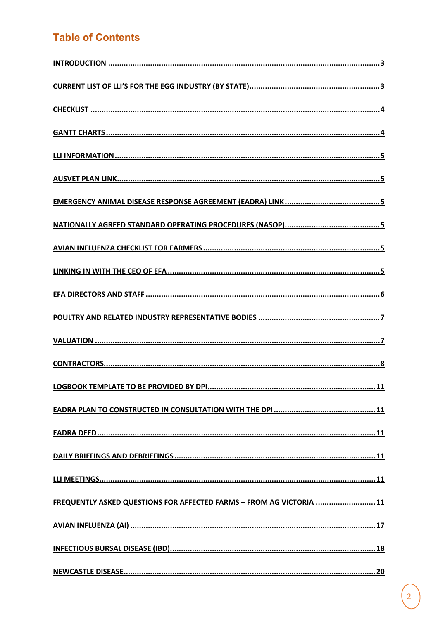# **Table of Contents**

| FREQUENTLY ASKED QUESTIONS FOR AFFECTED FARMS - FROM AG VICTORIA  11 |
|----------------------------------------------------------------------|
|                                                                      |
|                                                                      |
|                                                                      |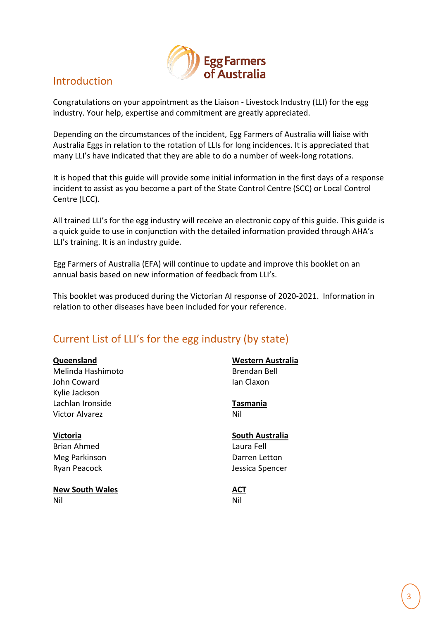

## <span id="page-2-0"></span>Introduction

Congratulations on your appointment as the Liaison - Livestock Industry (LLI) for the egg industry. Your help, expertise and commitment are greatly appreciated.

Depending on the circumstances of the incident, Egg Farmers of Australia will liaise with Australia Eggs in relation to the rotation of LLIs for long incidences. It is appreciated that many LLI's have indicated that they are able to do a number of week-long rotations.

It is hoped that this guide will provide some initial information in the first days of a response incident to assist as you become a part of the State Control Centre (SCC) or Local Control Centre (LCC).

All trained LLI's for the egg industry will receive an electronic copy of this guide. This guide is a quick guide to use in conjunction with the detailed information provided through AHA's LLI's training. It is an industry guide.

Egg Farmers of Australia (EFA) will continue to update and improve this booklet on an annual basis based on new information of feedback from LLI's.

This booklet was produced during the Victorian AI response of 2020-2021. Information in relation to other diseases have been included for your reference.

# <span id="page-2-1"></span>Current List of LLI's for the egg industry (by state)

### **Queensland**

Melinda Hashimoto John Coward Kylie Jackson Lachlan Ironside Victor Alvarez

### **Victoria**

Brian Ahmed Meg Parkinson Ryan Peacock

**New South Wales** Nil

## **Western Australia**

Brendan Bell Ian Claxon

# **Tasmania**

Nil

## **South Australia**

Laura Fell Darren Letton Jessica Spencer

#### **ACT** Nil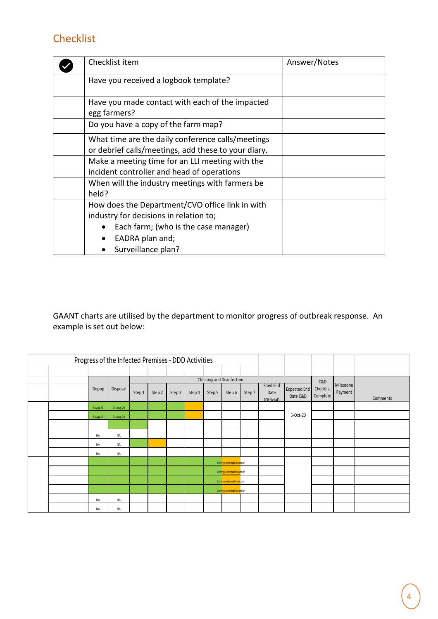# <span id="page-3-0"></span>Checklist

| Checklist item                                                                                                                                                                          | Answer/Notes |
|-----------------------------------------------------------------------------------------------------------------------------------------------------------------------------------------|--------------|
| Have you received a logbook template?                                                                                                                                                   |              |
| Have you made contact with each of the impacted<br>egg farmers?                                                                                                                         |              |
| Do you have a copy of the farm map?                                                                                                                                                     |              |
| What time are the daily conference calls/meetings<br>or debrief calls/meetings, add these to your diary.                                                                                |              |
| Make a meeting time for an LLI meeting with the<br>incident controller and head of operations                                                                                           |              |
| When will the industry meetings with farmers be<br>held?                                                                                                                                |              |
| How does the Department/CVO office link in with<br>industry for decisions in relation to;<br>Each farm; (who is the case manager)<br>EADRA plan and;<br>$\bullet$<br>Surveillance plan? |              |

<span id="page-3-1"></span>GAANT charts are utilised by the department to monitor progress of outbreak response. An example is set out below:

| Progress of the Infected Premises - DDD Activities |  |           |           |        |        |        |        |                           |                          |        |                                |                                 |                       |                      |          |
|----------------------------------------------------|--|-----------|-----------|--------|--------|--------|--------|---------------------------|--------------------------|--------|--------------------------------|---------------------------------|-----------------------|----------------------|----------|
|                                                    |  |           |           |        |        |        |        |                           |                          |        |                                |                                 |                       |                      |          |
|                                                    |  |           |           |        |        |        |        | Cleaning and Disinfection |                          |        |                                | C&D                             |                       |                      |          |
|                                                    |  | Depop     | Disposal  | Step 1 | Step 2 | Step 3 | Step 4 | Step 5                    | Step 6                   | Step 7 | Shed End<br>Date<br>(Official) | <b>Expected End</b><br>Date C&D | Checklist<br>Complete | Milestone<br>Payment | Comments |
|                                                    |  | 5-Aug-20  | 20-Aug-20 |        |        |        |        |                           |                          |        |                                |                                 |                       |                      |          |
|                                                    |  | 5-Aug-20  | 20-Aug-20 |        |        |        |        |                           |                          |        |                                | 5-Oct-20                        |                       |                      |          |
|                                                    |  |           |           |        |        |        |        |                           |                          |        |                                |                                 |                       |                      |          |
|                                                    |  | <b>NA</b> | NA        |        |        |        |        |                           |                          |        |                                |                                 |                       |                      |          |
|                                                    |  | <b>NA</b> | NA        |        |        |        |        |                           |                          |        |                                |                                 |                       |                      |          |
|                                                    |  | <b>NA</b> | <b>NA</b> |        |        |        |        |                           |                          |        |                                |                                 |                       |                      |          |
|                                                    |  |           |           |        |        |        |        |                           | Liming external to occur |        |                                |                                 |                       |                      |          |
|                                                    |  |           |           |        |        |        |        |                           | Liming external to occur |        |                                |                                 |                       |                      |          |
|                                                    |  |           |           |        |        |        |        |                           | Liming external to occur |        |                                |                                 |                       |                      |          |
|                                                    |  |           |           |        |        |        |        |                           | Liming external to occur |        |                                |                                 |                       |                      |          |
|                                                    |  | <b>NA</b> | NA        |        |        |        |        |                           |                          |        |                                |                                 |                       |                      |          |
|                                                    |  | <b>NA</b> | NA        |        |        |        |        |                           |                          |        |                                |                                 |                       |                      |          |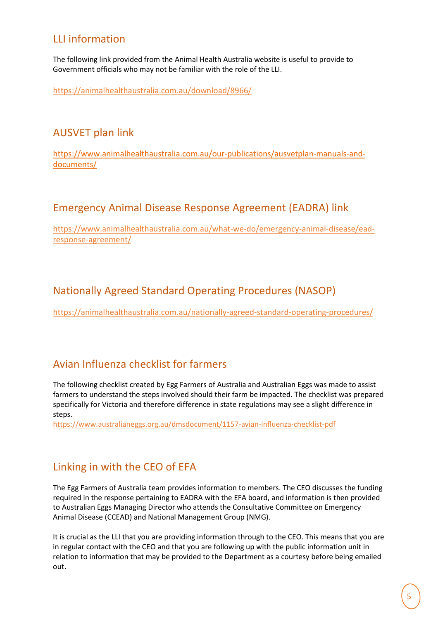## <span id="page-4-0"></span>LLI information

The following link provided from the Animal Health Australia website is useful to provide to Government officials who may not be familiar with the role of the LLI.

<https://animalhealthaustralia.com.au/download/8966/>

## <span id="page-4-1"></span>AUSVET plan link

[https://www.animalhealthaustralia.com.au/our-publications/ausvetplan-manuals-and](https://www.animalhealthaustralia.com.au/our-publications/ausvetplan-manuals-and-documents/)[documents/](https://www.animalhealthaustralia.com.au/our-publications/ausvetplan-manuals-and-documents/)

## <span id="page-4-2"></span>Emergency Animal Disease Response Agreement (EADRA) link

[https://www.animalhealthaustralia.com.au/what-we-do/emergency-animal-disease/ead](https://www.animalhealthaustralia.com.au/what-we-do/emergency-animal-disease/ead-response-agreement/)[response-agreement/](https://www.animalhealthaustralia.com.au/what-we-do/emergency-animal-disease/ead-response-agreement/)

## <span id="page-4-3"></span>Nationally Agreed Standard Operating Procedures (NASOP)

https://animalhealthaustralia.com.au/nationally-agreed-standard-operating-procedures/

## <span id="page-4-4"></span>Avian Influenza checklist for farmers

The following checklist created by Egg Farmers of Australia and Australian Eggs was made to assist farmers to understand the steps involved should their farm be impacted. The checklist was prepared specifically for Victoria and therefore difference in state regulations may see a slight difference in steps.

<https://www.australianeggs.org.au/dmsdocument/1157-avian-influenza-checklist-pdf>

## <span id="page-4-5"></span>Linking in with the CEO of EFA

The Egg Farmers of Australia team provides information to members. The CEO discusses the funding required in the response pertaining to EADRA with the EFA board, and information is then provided to Australian Eggs Managing Director who attends the Consultative Committee on Emergency Animal Disease (CCEAD) and National Management Group (NMG).

It is crucial as the LLI that you are providing information through to the CEO. This means that you are in regular contact with the CEO and that you are following up with the public information unit in relation to information that may be provided to the Department as a courtesy before being emailed out.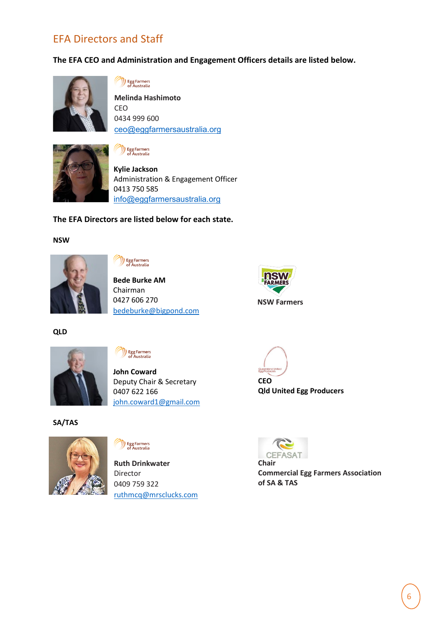## <span id="page-5-0"></span>EFA Directors and Staff

**The EFA CEO and Administration and Engagement Officers details are listed below.**



Egg Farmers<br>
of Australia

**Melinda Hashimoto** CEO 0434 999 600 [ceo@eggfarmersaustralia.org](mailto:ceo@eggfarmersaustralia.org)



## Egg Farmers<br>
of Australia

**Kylie Jackson**  Administration & Engagement Officer 0413 750 585 [info@eggfarmersaustralia.org](mailto:info@eggfarmersaustralia.org)

## **The EFA Directors are listed below for each state.**

**NSW**



Egg Farmers<br>
of Australia

**Bede Burke AM**  Chairman 0427 606 270 [bedeburke@bigpond.com](mailto:bedeburke@bigpond.com)



**QLD**



## Egg Farmers<br>
of Australia

**John Coward**  Deputy Chair & Secretary 0407 622 166 [john.coward1@gmail.com](mailto:john.coward1@gmail.com)

**SA/TAS**



## Egg Farmers<br>
of Australia

**Ruth Drinkwater** Director 0409 759 322 [ruthmcq@mrsclucks.com](mailto:ruthmcq@mrsclucks.com)





**Chair Commercial Egg Farmers Association of SA & TAS**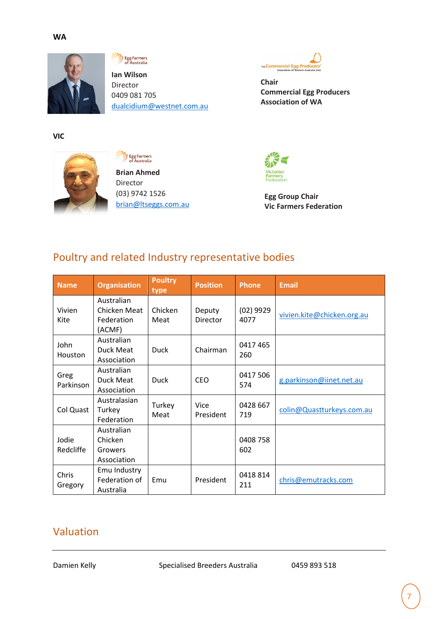

Egg Farmers<br>
of Australia

**Ian Wilson** Director 0409 081 705 [dualcidium@westnet.com.au](mailto:dualcidium@westnet.com.au)

**VIC**



Egg Farmers<br>
of Australia

**Brian Ahmed** Director (03) 9742 1526 [brian@ltseggs.com.au](mailto:brian@ltseggs.com.au)



**Chair Commercial Egg Producers Association of WA**



**Egg Group Chair Vic Farmers Federation**

# <span id="page-6-0"></span>Poultry and related Industry representative bodies

| <b>Name</b>            | <b>Organisation</b>                                | <b>Poultry</b><br>type | <b>Position</b>    | <b>Phone</b>        | <b>Email</b>               |
|------------------------|----------------------------------------------------|------------------------|--------------------|---------------------|----------------------------|
| Vivien<br>Kite         | Australian<br>Chicken Meat<br>Federation<br>(ACMF) | Chicken<br>Meat        | Deputy<br>Director | $(02)$ 9929<br>4077 | vivien.kite@chicken.org.au |
| John<br><b>Houston</b> | Australian<br>Duck Meat<br>Association             | <b>Duck</b>            | Chairman           | 0417 465<br>260     |                            |
| Greg<br>Parkinson      | Australian<br>Duck Meat<br>Association             | <b>Duck</b>            | <b>CEO</b>         | 0417 506<br>574     | g.parkinson@iinet.net.au   |
| Col Quast              | Australasian<br>Turkey<br>Federation               | Turkey<br>Meat         | Vice<br>President  | 0428 667<br>719     | colin@Quastturkeys.com.au  |
| Jodie<br>Redcliffe     | Australian<br>Chicken<br>Growers<br>Association    |                        |                    | 0408 758<br>602     |                            |
| Chris<br>Gregory       | Emu Industry<br>Federation of<br>Australia         | Emu                    | President          | 0418 814<br>211     | chris@emutracks.com        |

## <span id="page-6-1"></span>Valuation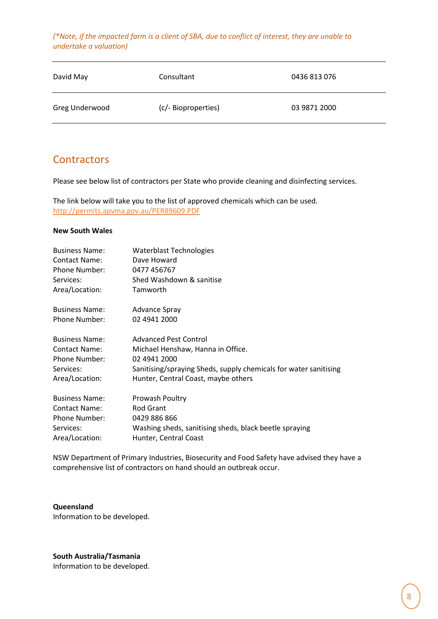#### *(\*Note, if the impacted farm is a client of SBA, due to conflict of interest, they are unable to undertake a valuation)*

| David May      | Consultant          | 0436 813 076 |
|----------------|---------------------|--------------|
| Greg Underwood | (c/- Bioproperties) | 03 9871 2000 |

## <span id="page-7-0"></span>**Contractors**

Please see below list of contractors per State who provide cleaning and disinfecting services.

The link below will take you to the list of approved chemicals which can be used. <http://permits.apvma.gov.au/PER89609.PDF>

#### **New South Wales**

| <b>Business Name:</b><br><b>Contact Name:</b><br>Phone Number:<br>Services:<br>Area/Location: | <b>Waterblast Technologies</b><br>Dave Howard<br>0477 456767<br>Shed Washdown & sanitise<br>Tamworth |
|-----------------------------------------------------------------------------------------------|------------------------------------------------------------------------------------------------------|
| <b>Business Name:</b>                                                                         | Advance Spray                                                                                        |
| Phone Number:                                                                                 | 02 4941 2000                                                                                         |
| <b>Business Name:</b>                                                                         | <b>Advanced Pest Control</b>                                                                         |
| <b>Contact Name:</b>                                                                          | Michael Henshaw, Hanna in Office.                                                                    |
| Phone Number:                                                                                 | 02 4941 2000                                                                                         |
| Services:                                                                                     | Sanitising/spraying Sheds, supply chemicals for water sanitising                                     |
| Area/Location:                                                                                | Hunter, Central Coast, maybe others                                                                  |
| <b>Business Name:</b>                                                                         | Prowash Poultry                                                                                      |
| <b>Contact Name:</b>                                                                          | <b>Rod Grant</b>                                                                                     |
| Phone Number:                                                                                 | 0429 886 866                                                                                         |
| Services:                                                                                     | Washing sheds, sanitising sheds, black beetle spraying                                               |
| Area/Location:                                                                                | Hunter, Central Coast                                                                                |

NSW Department of Primary Industries, Biosecurity and Food Safety have advised they have a comprehensive list of contractors on hand should an outbreak occur.

**Queensland** Information to be developed.

**South Australia/Tasmania** Information to be developed.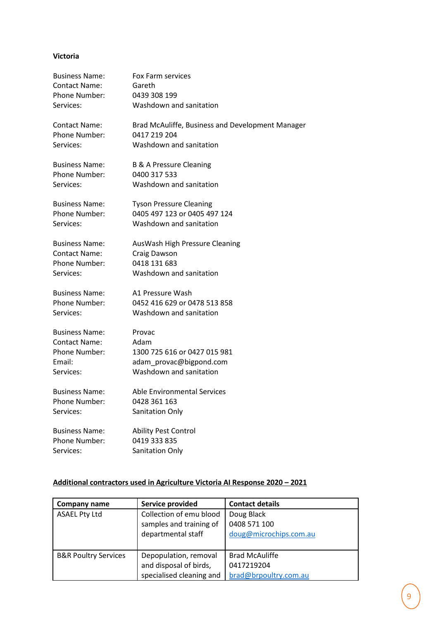### **Victoria**

| <b>Business Name:</b> | Fox Farm services                                |
|-----------------------|--------------------------------------------------|
| <b>Contact Name:</b>  | Gareth                                           |
| Phone Number:         | 0439 308 199                                     |
| Services:             | Washdown and sanitation                          |
| <b>Contact Name:</b>  | Brad McAuliffe, Business and Development Manager |
| Phone Number:         | 0417 219 204                                     |
| Services:             | Washdown and sanitation                          |
| <b>Business Name:</b> | <b>B &amp; A Pressure Cleaning</b>               |
| Phone Number:         | 0400 317 533                                     |
| Services:             | Washdown and sanitation                          |
| <b>Business Name:</b> | <b>Tyson Pressure Cleaning</b>                   |
| Phone Number:         | 0405 497 123 or 0405 497 124                     |
| Services:             | Washdown and sanitation                          |
| <b>Business Name:</b> | AusWash High Pressure Cleaning                   |
| <b>Contact Name:</b>  | Craig Dawson                                     |
| Phone Number:         | 0418 131 683                                     |
| Services:             | Washdown and sanitation                          |
| <b>Business Name:</b> | A1 Pressure Wash                                 |
| Phone Number:         | 0452 416 629 or 0478 513 858                     |
| Services:             | Washdown and sanitation                          |
| <b>Business Name:</b> | Provac                                           |
| <b>Contact Name:</b>  | Adam                                             |
| Phone Number:         | 1300 725 616 or 0427 015 981                     |
| Email:                | adam provac@bigpond.com                          |
| Services:             | Washdown and sanitation                          |
| <b>Business Name:</b> | Able Environmental Services                      |
| Phone Number:         | 0428 361 163                                     |
| Services:             | Sanitation Only                                  |
| <b>Business Name:</b> | <b>Ability Pest Control</b>                      |
| Phone Number:         | 0419 333 835                                     |
| Services:             | Sanitation Only                                  |

## **Additional contractors used in Agriculture Victoria AI Response 2020 – 2021**

| Company name                    | Service provided                                                            | <b>Contact details</b>                                       |
|---------------------------------|-----------------------------------------------------------------------------|--------------------------------------------------------------|
| <b>ASAEL Pty Ltd</b>            | Collection of emu blood<br>samples and training of<br>departmental staff    | Doug Black<br>0408 571 100<br>doug@microchips.com.au         |
| <b>B&amp;R Poultry Services</b> | Depopulation, removal<br>and disposal of birds,<br>specialised cleaning and | <b>Brad McAuliffe</b><br>0417219204<br>brad@brpoultry.com.au |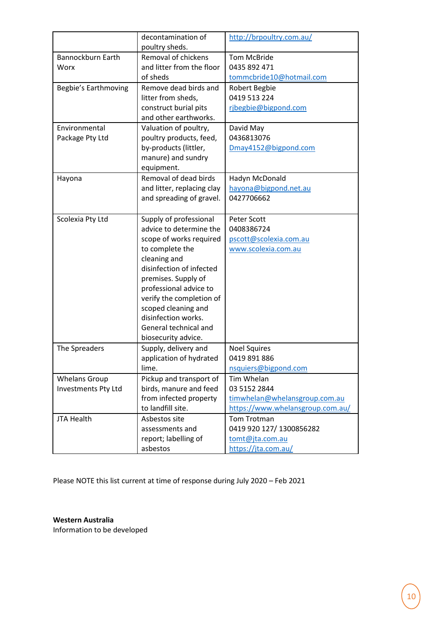|                          | decontamination of                         | http://brpoultry.com.au/         |  |  |
|--------------------------|--------------------------------------------|----------------------------------|--|--|
|                          |                                            |                                  |  |  |
| <b>Bannockburn Earth</b> | poultry sheds.                             |                                  |  |  |
|                          | Removal of chickens                        | <b>Tom McBride</b>               |  |  |
| Worx                     | and litter from the floor                  | 0435 892 471                     |  |  |
|                          | of sheds                                   | tommcbride10@hotmail.com         |  |  |
| Begbie's Earthmoving     | Remove dead birds and                      | Robert Begbie                    |  |  |
|                          | litter from sheds,                         | 0419 513 224                     |  |  |
|                          | construct burial pits                      | rjbegbie@bigpond.com             |  |  |
|                          | and other earthworks.                      |                                  |  |  |
| Environmental            | Valuation of poultry,                      | David May                        |  |  |
| Package Pty Ltd          | poultry products, feed,                    | 0436813076                       |  |  |
|                          | by-products (littler,                      | Dmay4152@bigpond.com             |  |  |
|                          | manure) and sundry                         |                                  |  |  |
|                          | equipment.                                 |                                  |  |  |
| Hayona                   | Removal of dead birds                      | Hadyn McDonald                   |  |  |
|                          | and litter, replacing clay                 | hayona@bigpond.net.au            |  |  |
|                          | and spreading of gravel.                   | 0427706662                       |  |  |
|                          |                                            |                                  |  |  |
| Scolexia Pty Ltd         | Supply of professional                     | Peter Scott                      |  |  |
|                          | advice to determine the                    | 0408386724                       |  |  |
|                          | scope of works required                    | pscott@scolexia.com.au           |  |  |
|                          | to complete the                            | www.scolexia.com.au              |  |  |
|                          | cleaning and                               |                                  |  |  |
|                          | disinfection of infected                   |                                  |  |  |
|                          | premises. Supply of                        |                                  |  |  |
|                          | professional advice to                     |                                  |  |  |
|                          | verify the completion of                   |                                  |  |  |
|                          |                                            |                                  |  |  |
|                          | scoped cleaning and<br>disinfection works. |                                  |  |  |
|                          |                                            |                                  |  |  |
|                          | General technical and                      |                                  |  |  |
|                          | biosecurity advice.                        |                                  |  |  |
| The Spreaders            | Supply, delivery and                       | <b>Noel Squires</b>              |  |  |
|                          | application of hydrated                    | 0419 891 886                     |  |  |
|                          | lime.                                      | nsquiers@bigpond.com             |  |  |
| <b>Whelans Group</b>     | Pickup and transport of                    | Tim Whelan                       |  |  |
| Investments Pty Ltd      | birds, manure and feed                     | 03 5152 2844                     |  |  |
| from infected property   |                                            | timwhelan@whelansgroup.com.au    |  |  |
|                          | to landfill site.                          | https://www.whelansgroup.com.au/ |  |  |
| <b>JTA Health</b>        | Asbestos site                              | Tom Trotman                      |  |  |
|                          | assessments and                            | 0419 920 127/ 1300856282         |  |  |
|                          | report; labelling of                       | tomt@jta.com.au                  |  |  |
|                          | asbestos                                   | https://jta.com.au/              |  |  |

Please NOTE this list current at time of response during July 2020 – Feb 2021

**Western Australia**

Information to be developed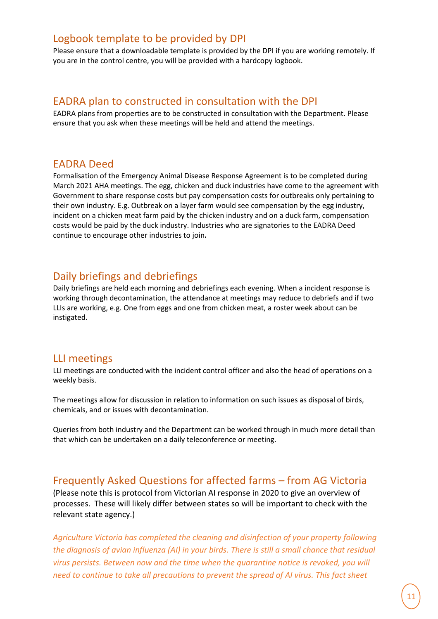## <span id="page-10-0"></span>Logbook template to be provided by DPI

Please ensure that a downloadable template is provided by the DPI if you are working remotely. If you are in the control centre, you will be provided with a hardcopy logbook.

## <span id="page-10-1"></span>EADRA plan to constructed in consultation with the DPI

EADRA plans from properties are to be constructed in consultation with the Department. Please ensure that you ask when these meetings will be held and attend the meetings.

## <span id="page-10-2"></span>EADRA Deed

Formalisation of the Emergency Animal Disease Response Agreement is to be completed during March 2021 AHA meetings. The egg, chicken and duck industries have come to the agreement with Government to share response costs but pay compensation costs for outbreaks only pertaining to their own industry. E.g. Outbreak on a layer farm would see compensation by the egg industry, incident on a chicken meat farm paid by the chicken industry and on a duck farm, compensation costs would be paid by the duck industry. Industries who are signatories to the EADRA Deed continue to encourage other industries to join**.** 

## <span id="page-10-3"></span>Daily briefings and debriefings

Daily briefings are held each morning and debriefings each evening. When a incident response is working through decontamination, the attendance at meetings may reduce to debriefs and if two LLIs are working, e.g. One from eggs and one from chicken meat, a roster week about can be instigated.

## <span id="page-10-4"></span>LLI meetings

LLI meetings are conducted with the incident control officer and also the head of operations on a weekly basis.

The meetings allow for discussion in relation to information on such issues as disposal of birds, chemicals, and or issues with decontamination.

Queries from both industry and the Department can be worked through in much more detail than that which can be undertaken on a daily teleconference or meeting.

## <span id="page-10-5"></span>Frequently Asked Questions for affected farms – from AG Victoria

(Please note this is protocol from Victorian AI response in 2020 to give an overview of processes. These will likely differ between states so will be important to check with the relevant state agency.)

*Agriculture Victoria has completed the cleaning and disinfection of your property following the diagnosis of avian influenza (AI) in your birds. There is still a small chance that residual virus persists. Between now and the time when the quarantine notice is revoked, you will need to continue to take all precautions to prevent the spread of AI virus. This fact sheet*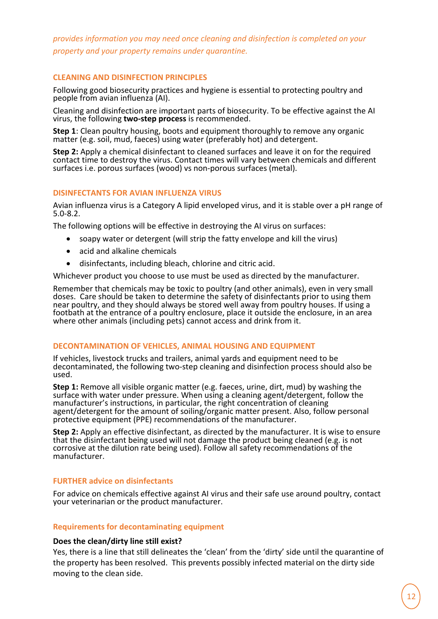*provides information you may need once cleaning and disinfection is completed on your property and your property remains under quarantine.*

#### **CLEANING AND DISINFECTION PRINCIPLES**

Following good biosecurity practices and hygiene is essential to protecting poultry and people from avian influenza (AI).

Cleaning and disinfection are important parts of biosecurity. To be effective against the AI virus, the following **two-step process** is recommended.

**Step 1**: Clean poultry housing, boots and equipment thoroughly to remove any organic matter (e.g. soil, mud, faeces) using water (preferably hot) and detergent.

**Step 2:** Apply a chemical disinfectant to cleaned surfaces and leave it on for the required contact time to destroy the virus. Contact times will vary between chemicals and different surfaces i.e. porous surfaces (wood) vs non-porous surfaces (metal).

#### **DISINFECTANTS FOR AVIAN INFLUENZA VIRUS**

Avian influenza virus is a Category A lipid enveloped virus, and it is stable over a pH range of 5.0-8.2.

The following options will be effective in destroying the AI virus on surfaces:

- soapy water or detergent (will strip the fatty envelope and kill the virus)
- acid and alkaline chemicals
- disinfectants, including bleach, chlorine and citric acid.

Whichever product you choose to use must be used as directed by the manufacturer.

Remember that chemicals may be toxic to poultry (and other animals), even in very small doses. Care should be taken to determine the safety of disinfectants prior to using them near poultry, and they should always be stored well away from poultry houses. If using a footbath at the entrance of a poultry enclosure, place it outside the enclosure, in an area where other animals (including pets) cannot access and drink from it.

#### **DECONTAMINATION OF VEHICLES, ANIMAL HOUSING AND EQUIPMENT**

If vehicles, livestock trucks and trailers, animal yards and equipment need to be decontaminated, the following two-step cleaning and disinfection process should also be used.

**Step 1:** Remove all visible organic matter (e.g. faeces, urine, dirt, mud) by washing the surface with water under pressure. When using a cleaning agent/detergent, follow the manufacturer's instructions, in particular, the right concentration of cleaning agent/detergent for the amount of soiling/organic matter present. Also, follow personal protective equipment (PPE) recommendations of the manufacturer.

**Step 2:** Apply an effective disinfectant, as directed by the manufacturer. It is wise to ensure that the disinfectant being used will not damage the product being cleaned (e.g. is not corrosive at the dilution rate being used). Follow all safety recommendations of the manufacturer.

#### **FURTHER advice on disinfectants**

For advice on chemicals effective against AI virus and their safe use around poultry, contact your veterinarian or the product manufacturer.

#### **Requirements for decontaminating equipment**

#### **Does the clean/dirty line still exist?**

Yes, there is a line that still delineates the 'clean' from the 'dirty' side until the quarantine of the property has been resolved. This prevents possibly infected material on the dirty side moving to the clean side.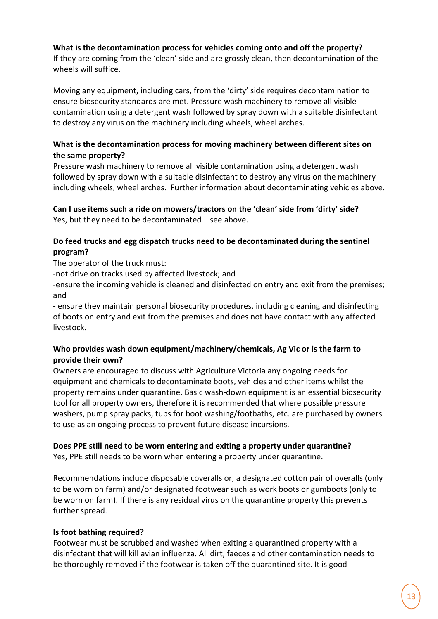## **What is the decontamination process for vehicles coming onto and off the property?**

If they are coming from the 'clean' side and are grossly clean, then decontamination of the wheels will suffice.

Moving any equipment, including cars, from the 'dirty' side requires decontamination to ensure biosecurity standards are met. Pressure wash machinery to remove all visible contamination using a detergent wash followed by spray down with a suitable disinfectant to destroy any virus on the machinery including wheels, wheel arches.

## **What is the decontamination process for moving machinery between different sites on the same property?**

Pressure wash machinery to remove all visible contamination using a detergent wash followed by spray down with a suitable disinfectant to destroy any virus on the machinery including wheels, wheel arches. Further information about decontaminating vehicles above.

**Can I use items such a ride on mowers/tractors on the 'clean' side from 'dirty' side?**  Yes, but they need to be decontaminated – see above.

## **Do feed trucks and egg dispatch trucks need to be decontaminated during the sentinel program?**

The operator of the truck must:

-not drive on tracks used by affected livestock; and

-ensure the incoming vehicle is cleaned and disinfected on entry and exit from the premises; and

- ensure they maintain personal biosecurity procedures, including cleaning and disinfecting of boots on entry and exit from the premises and does not have contact with any affected livestock.

## **Who provides wash down equipment/machinery/chemicals, Ag Vic or is the farm to provide their own?**

Owners are encouraged to discuss with Agriculture Victoria any ongoing needs for equipment and chemicals to decontaminate boots, vehicles and other items whilst the property remains under quarantine. Basic wash-down equipment is an essential biosecurity tool for all property owners, therefore it is recommended that where possible pressure washers, pump spray packs, tubs for boot washing/footbaths, etc. are purchased by owners to use as an ongoing process to prevent future disease incursions.

## **Does PPE still need to be worn entering and exiting a property under quarantine?**

Yes, PPE still needs to be worn when entering a property under quarantine.

Recommendations include disposable coveralls or, a designated cotton pair of overalls (only to be worn on farm) and/or designated footwear such as work boots or gumboots (only to be worn on farm). If there is any residual virus on the quarantine property this prevents further spread.

## **Is foot bathing required?**

Footwear must be scrubbed and washed when exiting a quarantined property with a disinfectant that will kill avian influenza. All dirt, faeces and other contamination needs to be thoroughly removed if the footwear is taken off the quarantined site. It is good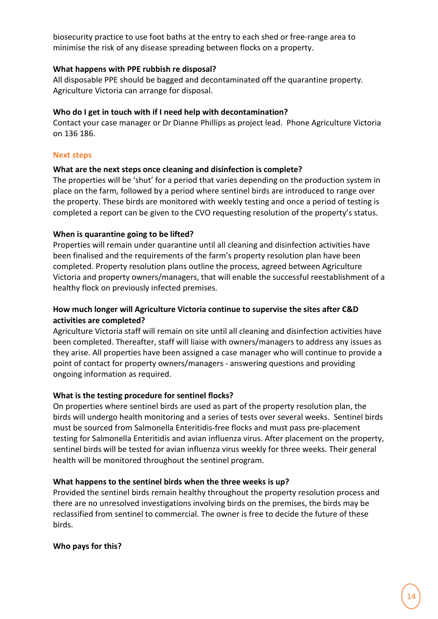biosecurity practice to use foot baths at the entry to each shed or free-range area to minimise the risk of any disease spreading between flocks on a property.

## **What happens with PPE rubbish re disposal?**

All disposable PPE should be bagged and decontaminated off the quarantine property. Agriculture Victoria can arrange for disposal.

## **Who do I get in touch with if I need help with decontamination?**

Contact your case manager or Dr Dianne Phillips as project lead. Phone Agriculture Victoria on 136 186.

### **Next steps**

### **What are the next steps once cleaning and disinfection is complete?**

The properties will be 'shut' for a period that varies depending on the production system in place on the farm, followed by a period where sentinel birds are introduced to range over the property. These birds are monitored with weekly testing and once a period of testing is completed a report can be given to the CVO requesting resolution of the property's status.

## **When is quarantine going to be lifted?**

Properties will remain under quarantine until all cleaning and disinfection activities have been finalised and the requirements of the farm's property resolution plan have been completed. Property resolution plans outline the process, agreed between Agriculture Victoria and property owners/managers, that will enable the successful reestablishment of a healthy flock on previously infected premises.

## **How much longer will Agriculture Victoria continue to supervise the sites after C&D activities are completed?**

Agriculture Victoria staff will remain on site until all cleaning and disinfection activities have been completed. Thereafter, staff will liaise with owners/managers to address any issues as they arise. All properties have been assigned a case manager who will continue to provide a point of contact for property owners/managers - answering questions and providing ongoing information as required.

## **What is the testing procedure for sentinel flocks?**

On properties where sentinel birds are used as part of the property resolution plan, the birds will undergo health monitoring and a series of tests over several weeks. Sentinel birds must be sourced from Salmonella Enteritidis-free flocks and must pass pre-placement testing for Salmonella Enteritidis and avian influenza virus. After placement on the property, sentinel birds will be tested for avian influenza virus weekly for three weeks. Their general health will be monitored throughout the sentinel program.

### **What happens to the sentinel birds when the three weeks is up?**

Provided the sentinel birds remain healthy throughout the property resolution process and there are no unresolved investigations involving birds on the premises, the birds may be reclassified from sentinel to commercial. The owner is free to decide the future of these birds.

### **Who pays for this?**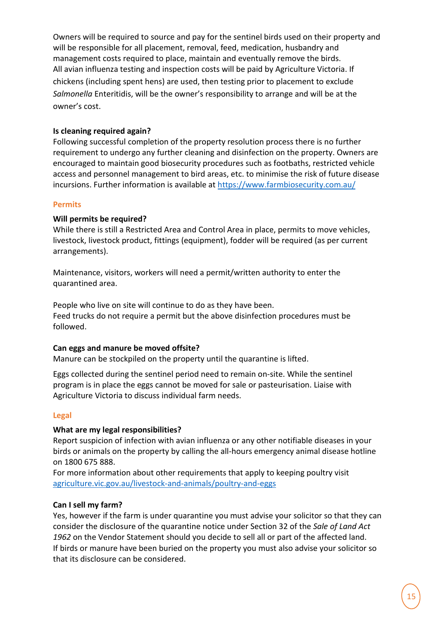Owners will be required to source and pay for the sentinel birds used on their property and will be responsible for all placement, removal, feed, medication, husbandry and management costs required to place, maintain and eventually remove the birds. All avian influenza testing and inspection costs will be paid by Agriculture Victoria. If chickens (including spent hens) are used, then testing prior to placement to exclude *Salmonella* Enteritidis, will be the owner's responsibility to arrange and will be at the owner's cost.

## **Is cleaning required again?**

Following successful completion of the property resolution process there is no further requirement to undergo any further cleaning and disinfection on the property. Owners are encouraged to maintain good biosecurity procedures such as footbaths, restricted vehicle access and personnel management to bird areas, etc. to minimise the risk of future disease incursions. Further information is available at<https://www.farmbiosecurity.com.au/>

### **Permits**

## **Will permits be required?**

While there is still a Restricted Area and Control Area in place, permits to move vehicles, livestock, livestock product, fittings (equipment), fodder will be required (as per current arrangements).

Maintenance, visitors, workers will need a permit/written authority to enter the quarantined area.

People who live on site will continue to do as they have been. Feed trucks do not require a permit but the above disinfection procedures must be followed.

### **Can eggs and manure be moved offsite?**

Manure can be stockpiled on the property until the quarantine is lifted.

Eggs collected during the sentinel period need to remain on-site. While the sentinel program is in place the eggs cannot be moved for sale or pasteurisation. Liaise with Agriculture Victoria to discuss individual farm needs.

### **Legal**

### **What are my legal responsibilities?**

Report suspicion of infection with avian influenza or any other notifiable diseases in your birds or animals on the property by calling the all-hours emergency animal disease hotline on 1800 675 888.

For more information about other requirements that apply to keeping poultry visit [agriculture.vic.gov.au/livestock-and-animals/poultry-and-eggs](https://agriculture.vic.gov.au/livestock-and-animals/poultry-and-eggs)

## **Can I sell my farm?**

Yes, however if the farm is under quarantine you must advise your solicitor so that they can consider the disclosure of the quarantine notice under Section 32 of the *Sale of Land Act 1962* on the Vendor Statement should you decide to sell all or part of the affected land. If birds or manure have been buried on the property you must also advise your solicitor so that its disclosure can be considered.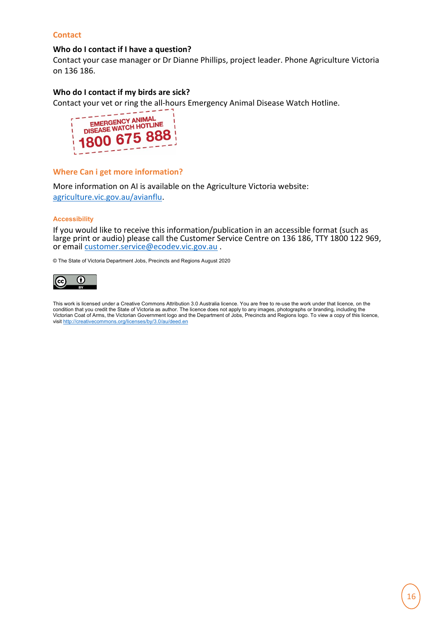### **Contact**

### **Who do I contact if I have a question?**

Contact your case manager or Dr Dianne Phillips, project leader. Phone Agriculture Victoria on 136 186.

### **Who do I contact if my birds are sick?**

Contact your vet or ring the all-hours Emergency Animal Disease Watch Hotline.



#### **Where Can i get more information?**

More information on AI is available on the Agriculture Victoria website: [agriculture.vic.gov.au/avianflu.](https://agriculture.vic.gov.au/biosecurity/animal-diseases/poultry-diseases/avian-influenza-bird-flu)

#### **Accessibility**

If you would like to receive this information/publication in an accessible format (such as large print or audio) please call the Customer Service Centre on 136 186, TTY 1800 122 969, or emai[l customer.service@ecodev.vic.gov.au](mailto:customer.service@ecodev.vic.gov.au) .

© The State of Victoria Department Jobs, Precincts and Regions August 2020



This work is licensed under a Creative Commons Attribution 3.0 Australia licence. You are free to re-use the work under that licence, on the condition that you credit the State of Victoria as author. The licence does not apply to any images, photographs or branding, including the Victorian Coat of Arms, the Victorian Government logo and the Department of Jobs, Precincts and Regions logo. To view a copy of this licence, visit http://creativecommons.org/licenses/by/3.0/au/deed.en visit http://creativecommons.org/licenses/by/3.0/au/d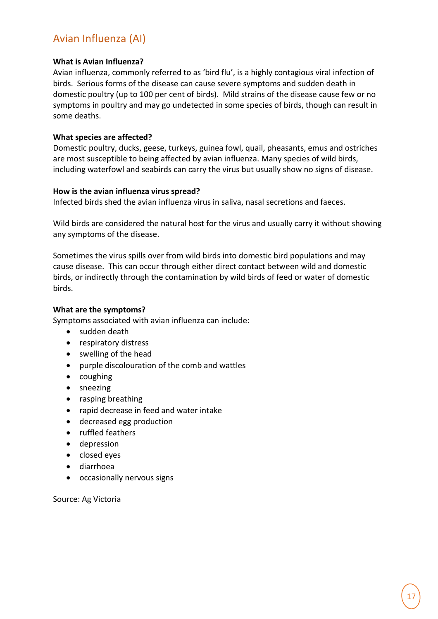## <span id="page-16-0"></span>Avian Influenza (AI)

## **What is Avian Influenza?**

Avian influenza, commonly referred to as 'bird flu', is a highly contagious viral infection of birds. Serious forms of the disease can cause severe symptoms and sudden death in domestic poultry (up to 100 per cent of birds). Mild strains of the disease cause few or no symptoms in poultry and may go undetected in some species of birds, though can result in some deaths.

### **What species are affected?**

Domestic poultry, ducks, geese, turkeys, guinea fowl, quail, pheasants, emus and ostriches are most susceptible to being affected by avian influenza. Many species of wild birds, including waterfowl and seabirds can carry the virus but usually show no signs of disease.

## **How is the avian influenza virus spread?**

Infected birds shed the avian influenza virus in saliva, nasal secretions and faeces.

Wild birds are considered the natural host for the virus and usually carry it without showing any symptoms of the disease.

Sometimes the virus spills over from wild birds into domestic bird populations and may cause disease. This can occur through either direct contact between wild and domestic birds, or indirectly through the contamination by wild birds of feed or water of domestic birds.

## **What are the symptoms?**

Symptoms associated with avian influenza can include:

- sudden death
- respiratory distress
- swelling of the head
- purple discolouration of the comb and wattles
- coughing
- sneezing
- rasping breathing
- rapid decrease in feed and water intake
- decreased egg production
- ruffled feathers
- depression
- closed eyes
- diarrhoea
- occasionally nervous signs

Source: Ag Victoria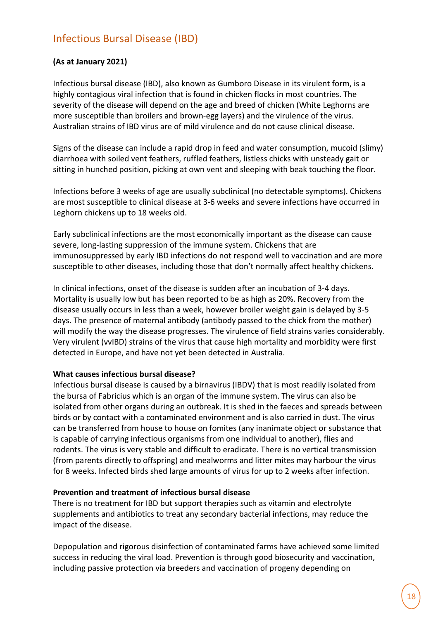## <span id="page-17-0"></span>Infectious Bursal Disease (IBD)

## **(As at January 2021)**

Infectious bursal disease (IBD), also known as Gumboro Disease in its virulent form, is a highly contagious viral infection that is found in chicken flocks in most countries. The severity of the disease will depend on the age and breed of chicken (White Leghorns are more susceptible than broilers and brown-egg layers) and the virulence of the virus. Australian strains of IBD virus are of mild virulence and do not cause clinical disease.

Signs of the disease can include a rapid drop in feed and water consumption, mucoid (slimy) diarrhoea with soiled vent feathers, ruffled feathers, listless chicks with unsteady gait or sitting in hunched position, picking at own vent and sleeping with beak touching the floor.

Infections before 3 weeks of age are usually subclinical (no detectable symptoms). Chickens are most susceptible to clinical disease at 3-6 weeks and severe infections have occurred in Leghorn chickens up to 18 weeks old.

Early subclinical infections are the most economically important as the disease can cause severe, long-lasting suppression of the immune system. Chickens that are immunosuppressed by early IBD infections do not respond well to vaccination and are more susceptible to other diseases, including those that don't normally affect healthy chickens.

In clinical infections, onset of the disease is sudden after an incubation of 3-4 days. Mortality is usually low but has been reported to be as high as 20%. Recovery from the disease usually occurs in less than a week, however broiler weight gain is delayed by 3-5 days. The presence of maternal antibody (antibody passed to the chick from the mother) will modify the way the disease progresses. The virulence of field strains varies considerably. Very virulent (vvIBD) strains of the virus that cause high mortality and morbidity were first detected in Europe, and have not yet been detected in Australia.

### **What causes infectious bursal disease?**

Infectious bursal disease is caused by a birnavirus (IBDV) that is most readily isolated from the bursa of Fabricius which is an organ of the immune system. The virus can also be isolated from other organs during an outbreak. It is shed in the faeces and spreads between birds or by contact with a contaminated environment and is also carried in dust. The virus can be transferred from house to house on fomites (any inanimate object or substance that is capable of carrying infectious organisms from one individual to another), flies and rodents. The virus is very stable and difficult to eradicate. There is no vertical transmission (from parents directly to offspring) and mealworms and litter mites may harbour the virus for 8 weeks. Infected birds shed large amounts of virus for up to 2 weeks after infection.

#### **Prevention and treatment of infectious bursal disease**

There is no treatment for IBD but support therapies such as vitamin and electrolyte supplements and antibiotics to treat any secondary bacterial infections, may reduce the impact of the disease.

Depopulation and rigorous disinfection of contaminated farms have achieved some limited success in reducing the viral load. Prevention is through good biosecurity and vaccination, including passive protection via breeders and vaccination of progeny depending on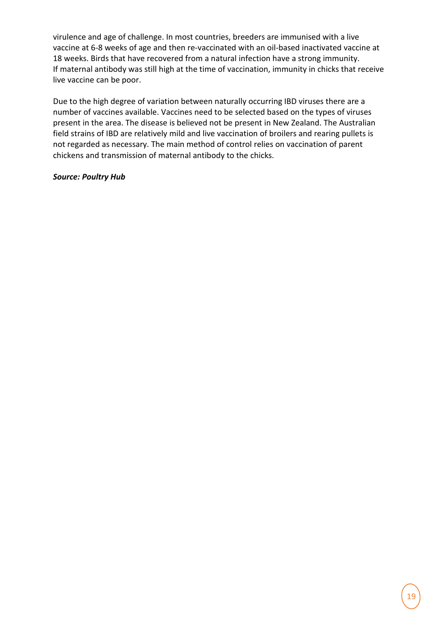virulence and age of challenge. In most countries, breeders are immunised with a live vaccine at 6-8 weeks of age and then re-vaccinated with an oil-based inactivated vaccine at 18 weeks. Birds that have recovered from a natural infection have a strong immunity. If maternal antibody was still high at the time of vaccination, immunity in chicks that receive live vaccine can be poor.

Due to the high degree of variation between naturally occurring IBD viruses there are a number of vaccines available. Vaccines need to be selected based on the types of viruses present in the area. The disease is believed not be present in New Zealand. The Australian field strains of IBD are relatively mild and live vaccination of broilers and rearing pullets is not regarded as necessary. The main method of control relies on vaccination of parent chickens and transmission of maternal antibody to the chicks.

### *Source: Poultry Hub*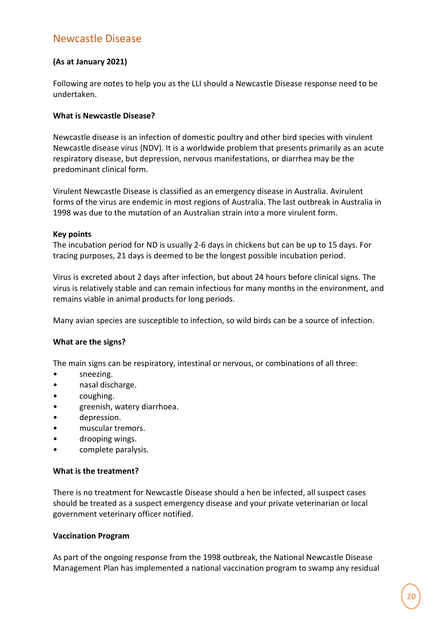## <span id="page-19-0"></span>Newcastle Disease

## **(As at January 2021)**

Following are notes to help you as the LLI should a Newcastle Disease response need to be undertaken.

### **What is Newcastle Disease?**

Newcastle disease is an infection of domestic poultry and other bird species with virulent Newcastle disease virus (NDV). It is a worldwide problem that presents primarily as an acute respiratory disease, but depression, nervous manifestations, or diarrhea may be the predominant clinical form.

Virulent Newcastle Disease is classified as an emergency disease in Australia. Avirulent forms of the virus are endemic in most regions of Australia. The last outbreak in Australia in 1998 was due to the mutation of an Australian strain into a more virulent form.

### **Key points**

The incubation period for ND is usually 2-6 days in chickens but can be up to 15 days. For tracing purposes, 21 days is deemed to be the longest possible incubation period.

Virus is excreted about 2 days after infection, but about 24 hours before clinical signs. The virus is relatively stable and can remain infectious for many months in the environment, and remains viable in animal products for long periods.

Many avian species are susceptible to infection, so wild birds can be a source of infection.

### **What are the signs?**

The main signs can be respiratory, intestinal or nervous, or combinations of all three:

- sneezing.
- nasal discharge.
- coughing.
- greenish, watery diarrhoea.
- depression.
- muscular tremors.
- drooping wings.
- complete paralysis.

#### **What is the treatment?**

There is no treatment for Newcastle Disease should a hen be infected, all suspect cases should be treated as a suspect emergency disease and your private veterinarian or local government veterinary officer notified.

### **Vaccination Program**

As part of the ongoing response from the 1998 outbreak, the National Newcastle Disease Management Plan has implemented a national vaccination program to swamp any residual